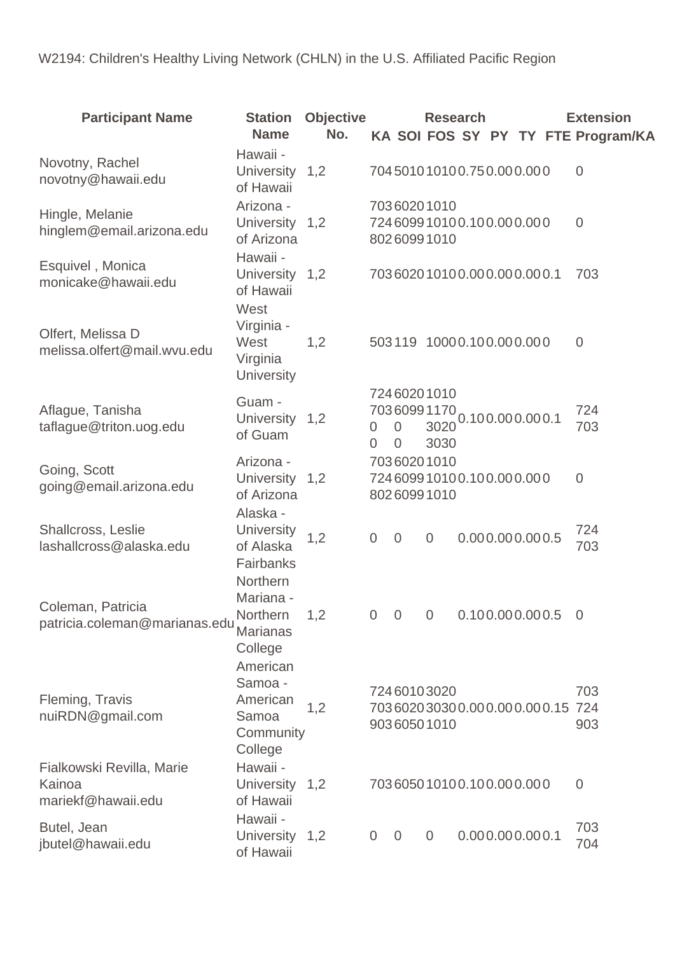W2194: Children's Healthy Living Network (CHLN) in the U.S. Affiliated Pacific Region

| <b>Participant Name</b>                                   | <b>Station</b><br><b>Name</b>                                    | <b>Objective</b><br>No. |                     |                                                   |                | <b>Research</b>                                   |                 |  | <b>Extension</b><br>KA SOI FOS SY PY TY FTE Program/KA |
|-----------------------------------------------------------|------------------------------------------------------------------|-------------------------|---------------------|---------------------------------------------------|----------------|---------------------------------------------------|-----------------|--|--------------------------------------------------------|
| Novotny, Rachel<br>novotny@hawaii.edu                     | Hawaii -<br>University 1,2<br>of Hawaii                          |                         |                     |                                                   |                | 704501010100.750.000.000                          |                 |  | $\overline{0}$                                         |
| Hingle, Melanie<br>hinglem@email.arizona.edu              | Arizona -<br>University 1,2<br>of Arizona                        |                         |                     | 70360201010<br>80260991010                        |                | 724609910100.100.000.000                          |                 |  | $\overline{0}$                                         |
| Esquivel, Monica<br>monicake@hawaii.edu                   | Hawaii -<br>University 1,2<br>of Hawaii                          |                         |                     |                                                   |                | 703602010100.000.000.000.1                        |                 |  | 703                                                    |
| Olfert, Melissa D<br>melissa.olfert@mail.wvu.edu          | West<br>Virginia -<br>West<br>Virginia<br><b>University</b>      | 1,2                     |                     |                                                   |                | 503119 10000.100.000.000                          |                 |  | $\overline{0}$                                         |
| Aflague, Tanisha<br>taflague@triton.uog.edu               | Guam -<br>University 1,2<br>of Guam                              |                         | 0<br>$\overline{0}$ | 72460201010<br>70360991170<br>0<br>$\overline{0}$ | 3020<br>3030   |                                                   | 0.100.000.000.1 |  | 724<br>703                                             |
| Going, Scott<br>going@email.arizona.edu                   | Arizona -<br>University 1,2<br>of Arizona                        |                         |                     | 70360201010<br>80260991010                        |                | 724609910100.100.000.000                          |                 |  | $\overline{0}$                                         |
| Shallcross, Leslie<br>lashallcross@alaska.edu             | Alaska -<br><b>University</b><br>of Alaska<br>Fairbanks          | 1,2                     | $\overline{0}$      | $\overline{0}$                                    | $\overline{0}$ |                                                   | 0.000.000.000.5 |  | 724<br>703                                             |
| Coleman, Patricia<br>patricia.coleman@marianas.edu        | Northern<br>Mariana -<br>Northern<br><b>Marianas</b><br>College  | 1,2                     |                     |                                                   |                | $0 \quad 0 \quad 0 \quad 0.100.000.000.5 \quad 0$ |                 |  |                                                        |
| Fleming, Travis<br>nuiRDN@gmail.com                       | American<br>Samoa -<br>American<br>Samoa<br>Community<br>College | 1,2                     |                     | 72460103020<br>90360501010                        |                | 703602030300.000.000.000.15 724                   |                 |  | 703<br>903                                             |
| Fialkowski Revilla, Marie<br>Kainoa<br>mariekf@hawaii.edu | Hawaii -<br>University<br>of Hawaii                              | 1,2                     |                     |                                                   |                | 703605010100.100.000.000                          |                 |  | $\overline{0}$                                         |
| Butel, Jean<br>jbutel@hawaii.edu                          | Hawaii -<br>University 1,2<br>of Hawaii                          |                         | $\overline{0}$      | $\overline{0}$                                    | $\overline{0}$ |                                                   | 0.000.000.000.1 |  | 703<br>704                                             |